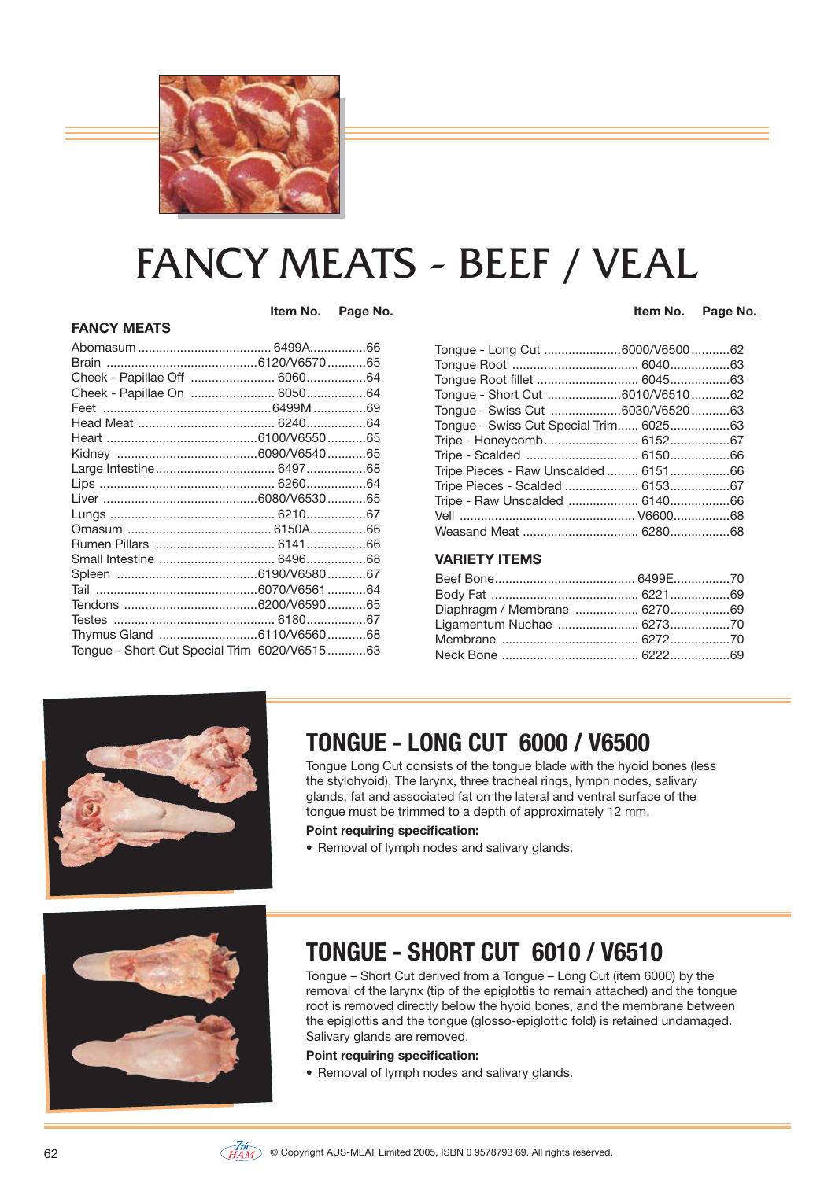

# FANCY MEATS - BEEF / VEAL

 **Item No. Page No.**

Tendons ......................................6200/V6590 ...........65 Testes .............................................. 6180 .................67 Thymus Gland ............................6110/V6560 ...........68 Tongue - Short Cut Special Trim 6020/V6515 ...........63

**FANCY MEATS**

 **Item No. Page No.**

| Tongue - Long Cut 6000/V650062         |  |
|----------------------------------------|--|
|                                        |  |
| Tongue Root fillet  604563             |  |
| Tongue - Short Cut 6010/V651062        |  |
| Tongue - Swiss Cut 6030/V652063        |  |
| Tongue - Swiss Cut Special Trim 602563 |  |
| Tripe - Honeycomb 615267               |  |
| Tripe - Scalded  615066                |  |
| Tripe Pieces - Raw Unscalded  615166   |  |
| Tripe Pieces - Scalded  6153 67        |  |
| Tripe - Raw Unscalded  614066          |  |
|                                        |  |
|                                        |  |
|                                        |  |

#### **VARIETY ITEMS**

| Diaphragm / Membrane  627069 |  |
|------------------------------|--|
|                              |  |
|                              |  |
|                              |  |



# **TONGUE - LONG CUT 6000 / V6500**

Tongue Long Cut consists of the tongue blade with the hyoid bones (less the stylohyoid). The larynx, three tracheal rings, lymph nodes, salivary glands, fat and associated fat on the lateral and ventral surface of the tongue must be trimmed to a depth of approximately 12 mm.

#### **Point requiring specification:**

• Removal of lymph nodes and salivary glands.



# **TONGUE - SHORT CUT 6010 / V6510**

Tongue – Short Cut derived from a Tongue – Long Cut (item 6000) by the removal of the larynx (tip of the epiglottis to remain attached) and the tongue root is removed directly below the hyoid bones, and the membrane between the epiglottis and the tongue (glosso-epiglottic fold) is retained undamaged. Salivary glands are removed.

#### **Point requiring specification:**

• Removal of lymph nodes and salivary glands.

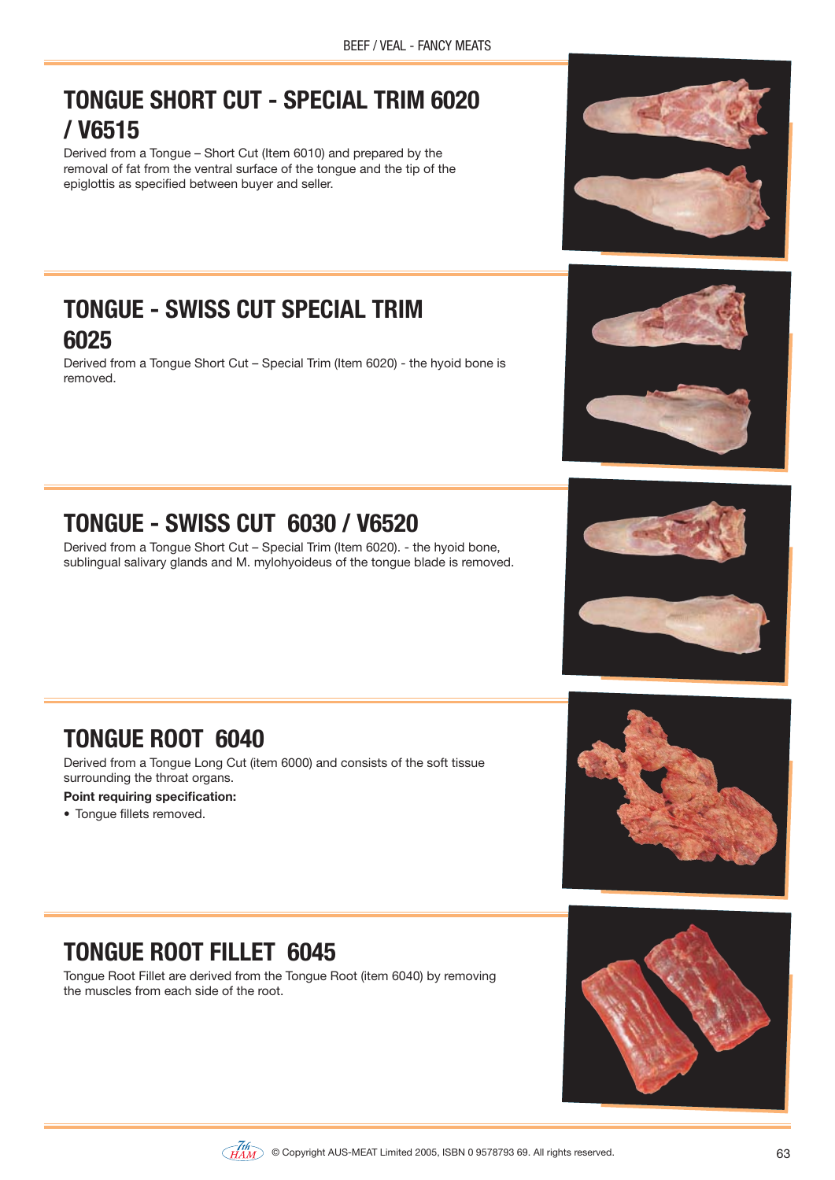# **TONGUE SHORT CUT - SPECIAL TRIM 6020 / V6515**

Derived from a Tongue – Short Cut (Item 6010) and prepared by the removal of fat from the ventral surface of the tongue and the tip of the epiglottis as specified between buyer and seller.

### **TONGUE - SWISS CUT SPECIAL TRIM 6025**

Derived from a Tongue Short Cut – Special Trim (Item 6020) - the hyoid bone is removed.

# **TONGUE - SWISS CUT 6030 / V6520**

Derived from a Tongue Short Cut – Special Trim (Item 6020). - the hyoid bone, sublingual salivary glands and M. mylohyoideus of the tongue blade is removed.

# **TONGUE ROOT 6040**

Derived from a Tongue Long Cut (item 6000) and consists of the soft tissue surrounding the throat organs.

#### **Point requiring specification:**

• Tongue fillets removed.

# **TONGUE ROOT FILLET 6045**

Tongue Root Fillet are derived from the Tongue Root (item 6040) by removing the muscles from each side of the root.







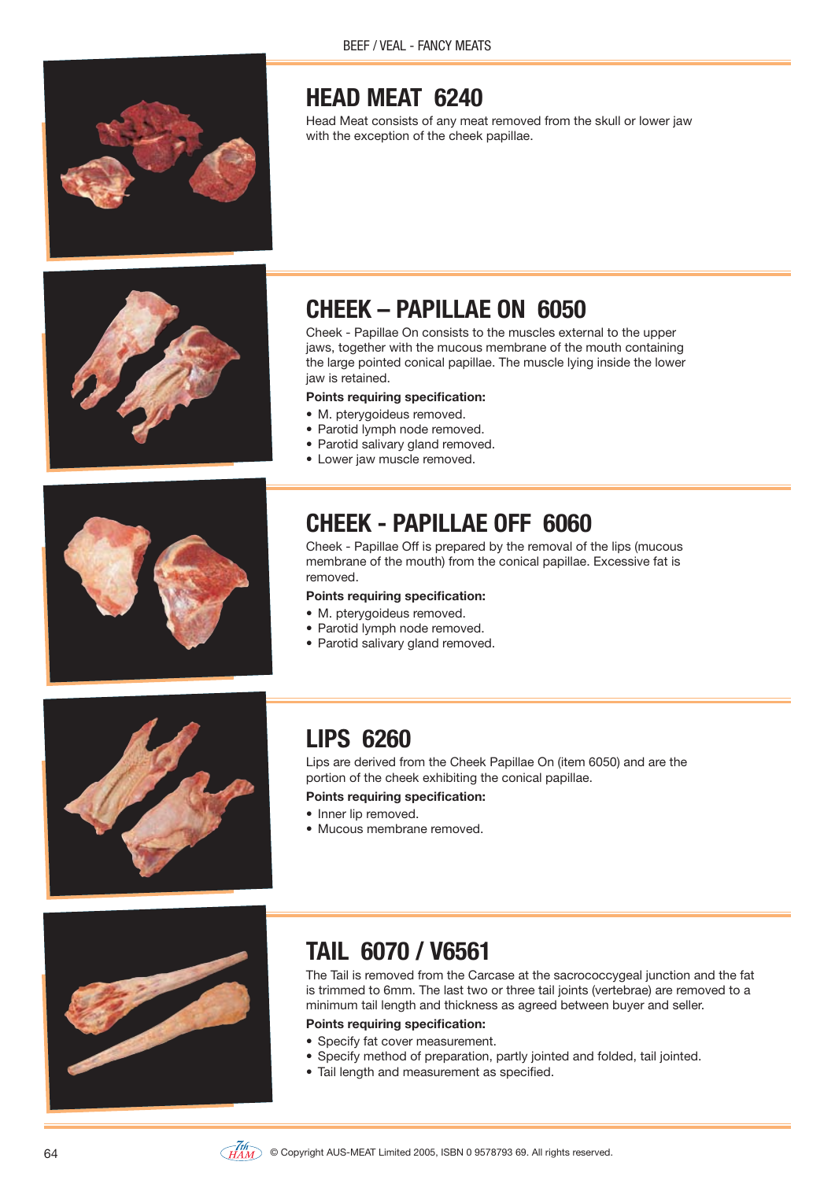

# **HEAD MEAT 6240**

Head Meat consists of any meat removed from the skull or lower jaw with the exception of the cheek papillae.



# **CHEEK – PAPILLAE ON 6050**

Cheek - Papillae On consists to the muscles external to the upper jaws, together with the mucous membrane of the mouth containing the large pointed conical papillae. The muscle lying inside the lower jaw is retained.

#### **Points requiring specification:**

- M. ptervgoideus removed.
- Parotid lymph node removed.
- Parotid salivary gland removed.
- Lower jaw muscle removed.



# **CHEEK - PAPILLAE OFF 6060**

Cheek - Papillae Off is prepared by the removal of the lips (mucous membrane of the mouth) from the conical papillae. Excessive fat is removed.

#### **Points requiring specification:**

- M. pterygoideus removed.
- Parotid lymph node removed.
- Parotid salivary gland removed.



# **LIPS 6260**

Lips are derived from the Cheek Papillae On (item 6050) and are the portion of the cheek exhibiting the conical papillae.

#### **Points requiring specification:**

- Inner lip removed.
- Mucous membrane removed.



### **TAIL 6070 / V6561**

The Tail is removed from the Carcase at the sacrococcygeal junction and the fat is trimmed to 6mm. The last two or three tail joints (vertebrae) are removed to a minimum tail length and thickness as agreed between buyer and seller.

- Specify fat cover measurement.
- Specify method of preparation, partly jointed and folded, tail jointed.
- Tail length and measurement as specified.

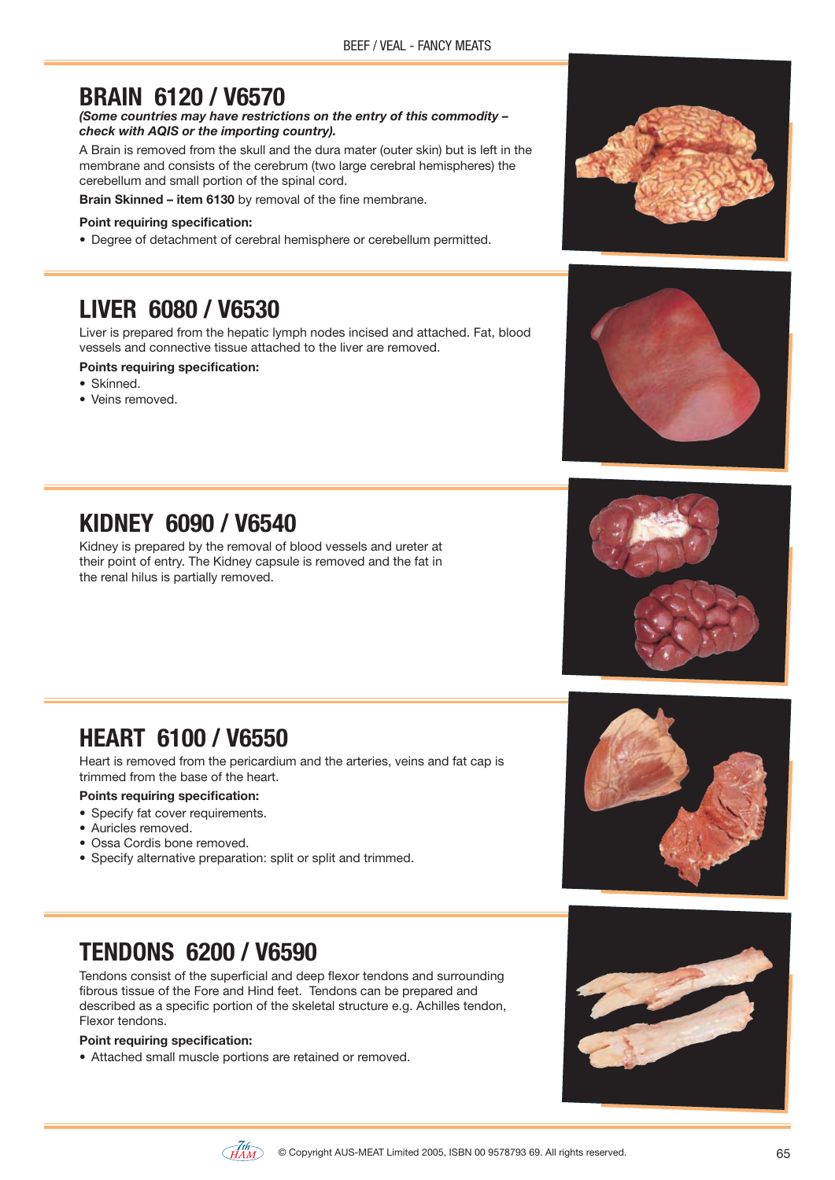### **BRAIN 6120 / V6570**

*(Some countries may have restrictions on the entry of this commodity – check with AQIS or the importing country).*

A Brain is removed from the skull and the dura mater (outer skin) but is left in the membrane and consists of the cerebrum (two large cerebral hemispheres) the cerebellum and small portion of the spinal cord.

**Brain Skinned – item 6130** by removal of the fine membrane.

#### **Point requiring specification:**

• Degree of detachment of cerebral hemisphere or cerebellum permitted.

### **LIVER 6080 / V6530**

Liver is prepared from the hepatic lymph nodes incised and attached. Fat, blood vessels and connective tissue attached to the liver are removed.

#### **Points requiring specification:**

- Skinned.
- $\bullet$  Veins removed





# **KIDNEY 6090 / V6540**

Kidney is prepared by the removal of blood vessels and ureter at their point of entry. The Kidney capsule is removed and the fat in the renal hilus is partially removed.



### **HEART 6100 / V6550**

Heart is removed from the pericardium and the arteries, veins and fat cap is trimmed from the base of the heart.

#### **Points requiring specification:**

- Specify fat cover requirements.
- · Auricles removed.
- Ossa Cordis bone removed.
- Specify alternative preparation: split or split and trimmed.

# **TENDONS 6200 / V6590**

Tendons consist of the superficial and deep flexor tendons and surrounding fibrous tissue of the Fore and Hind feet. Tendons can be prepared and described as a specific portion of the skeletal structure e.g. Achilles tendon, Flexor tendons.

#### **Point requiring specification:**

• Attached small muscle portions are retained or removed.





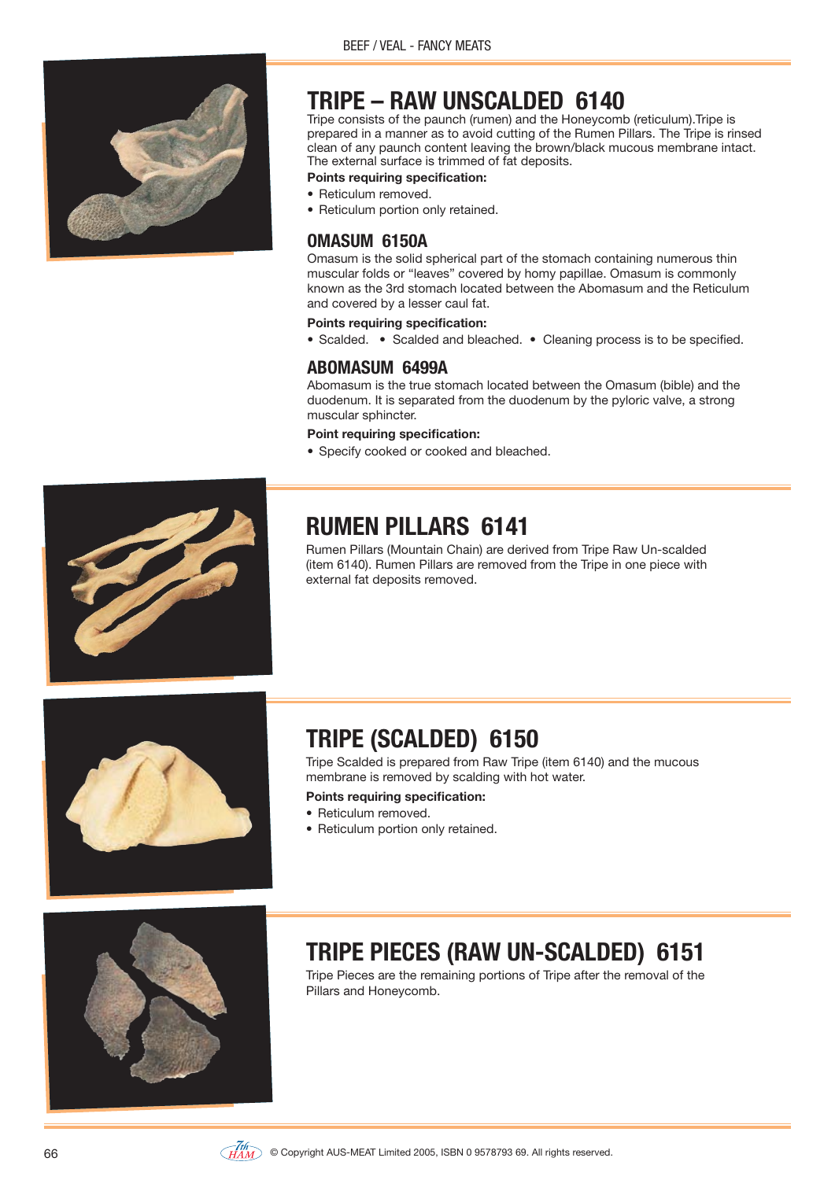

# **TRIPE – RAW UNSCALDED 6140**

Tripe consists of the paunch (rumen) and the Honeycomb (reticulum).Tripe is prepared in a manner as to avoid cutting of the Rumen Pillars. The Tripe is rinsed clean of any paunch content leaving the brown/black mucous membrane intact. The external surface is trimmed of fat deposits.

#### **Points requiring specification:**

- Reticulum removed.
- Reticulum portion only retained.

#### **OMASUM 6150A**

Omasum is the solid spherical part of the stomach containing numerous thin muscular folds or "leaves" covered by homy papillae. Omasum is commonly known as the 3rd stomach located between the Abomasum and the Reticulum and covered by a lesser caul fat.

#### **Points requiring specification:**

• Scalded. • Scalded and bleached. • Cleaning process is to be specified.

#### **ABOMASUM 6499A**

Abomasum is the true stomach located between the Omasum (bible) and the duodenum. It is separated from the duodenum by the pyloric valve, a strong muscular sphincter.

#### **Point requiring specification:**

• Specify cooked or cooked and bleached.



# **RUMEN PILLARS 6141**

Rumen Pillars (Mountain Chain) are derived from Tripe Raw Un-scalded (item 6140). Rumen Pillars are removed from the Tripe in one piece with external fat deposits removed.



# **TRIPE (SCALDED) 6150**

Tripe Scalded is prepared from Raw Tripe (item 6140) and the mucous membrane is removed by scalding with hot water.

#### **Points requiring specification:**

- Reticulum removed.
- Reticulum portion only retained.



# **TRIPE PIECES (RAW UN-SCALDED) 6151**

Tripe Pieces are the remaining portions of Tripe after the removal of the Pillars and Honeycomb.

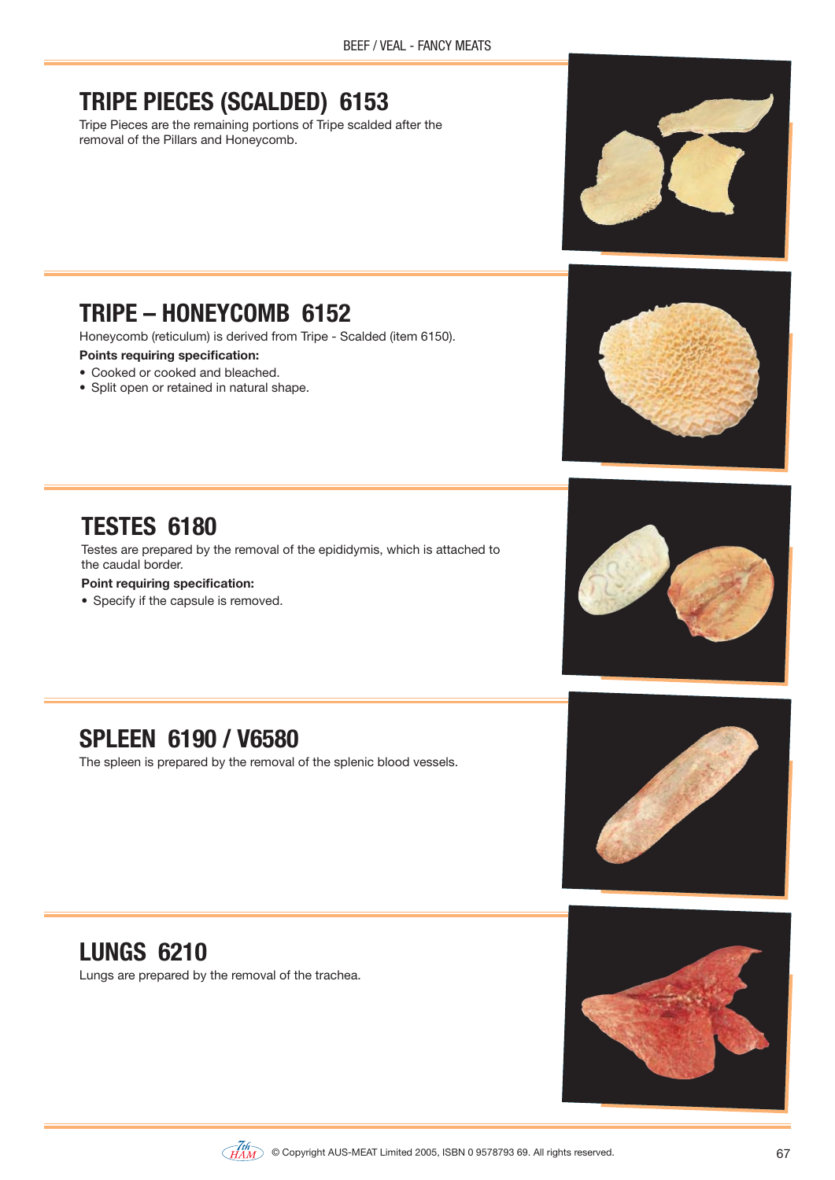# **TRIPE PIECES (SCALDED) 6153**

Tripe Pieces are the remaining portions of Tripe scalded after the removal of the Pillars and Honeycomb.

# **TRIPE – HONEYCOMB 6152**

Honeycomb (reticulum) is derived from Tripe - Scalded (item 6150).

#### **Points requiring specification:**

**TESTES 6180**

**Point requiring specification:** • Specify if the capsule is removed.

the caudal border.

- Cooked or cooked and bleached.
- Split open or retained in natural shape.



### **SPLEEN 6190 / V6580**

The spleen is prepared by the removal of the splenic blood vessels.

Testes are prepared by the removal of the epididymis, which is attached to



# **LUNGS 6210**

Lungs are prepared by the removal of the trachea.



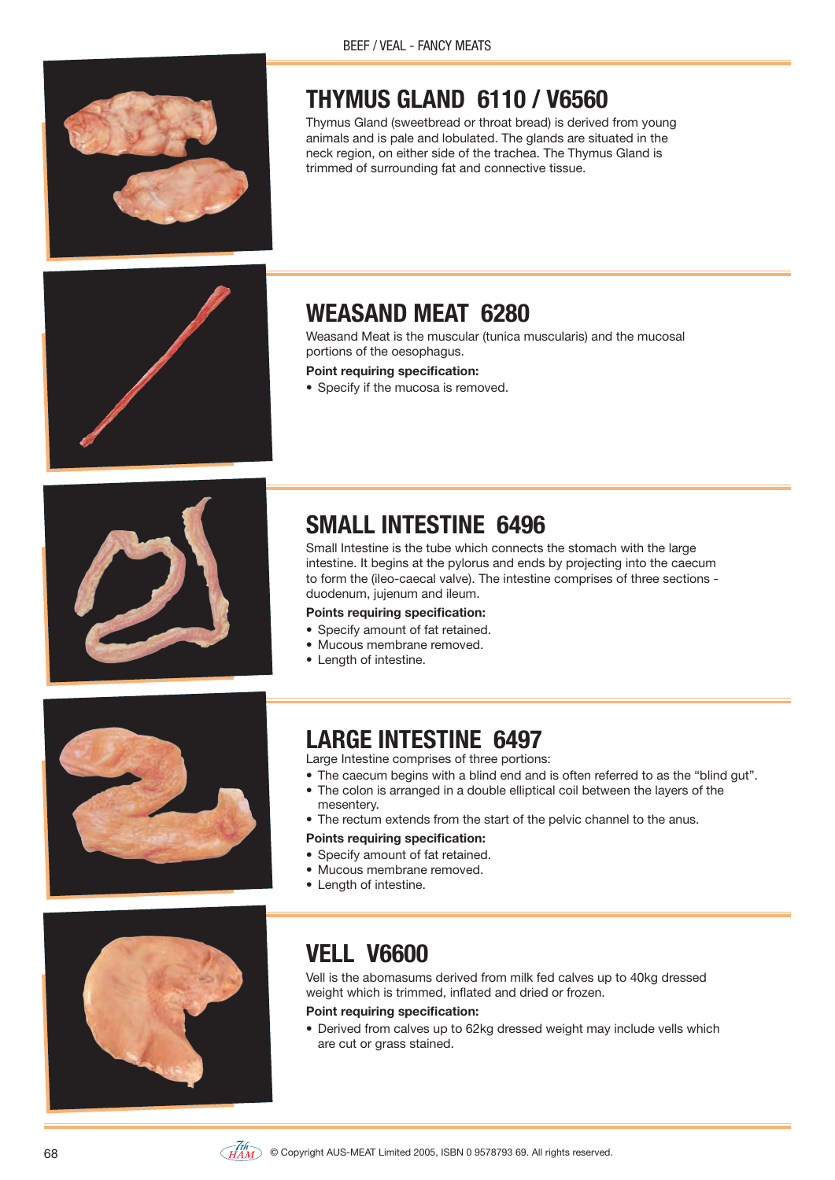# **THYMUS GLAND 6110 / V6560**

Thymus Gland (sweetbread or throat bread) is derived from young animals and is pale and lobulated. The glands are situated in the neck region, on either side of the trachea. The Thymus Gland is trimmed of surrounding fat and connective tissue.



# **WEASAND MEAT 6280**

Weasand Meat is the muscular (tunica muscularis) and the mucosal portions of the oesophagus.

- **Point requiring specification:**
- Specify if the mucosa is removed.



# **SMALL INTESTINE 6496**

Small Intestine is the tube which connects the stomach with the large intestine. It begins at the pylorus and ends by projecting into the caecum to form the (ileo-caecal valve). The intestine comprises of three sections duodenum, jujenum and ileum.

#### **Points requiring specification:**

- Specify amount of fat retained.
- Mucous membrane removed.
- Length of intestine.



### **LARGE INTESTINE 6497**

Large Intestine comprises of three portions:

- The caecum begins with a blind end and is often referred to as the "blind gut".<br>• The colon is arranged in a double elliptical coil between the layers of the
- The colon is arranged in a double elliptical coil between the layers of the mesentery.
- The rectum extends from the start of the pelvic channel to the anus.

#### **Points requiring specification:**

- Specify amount of fat retained.
- Mucous membrane removed.
- Length of intestine.



# **VELL V6600**

Vell is the abomasums derived from milk fed calves up to 40kg dressed weight which is trimmed, inflated and dried or frozen.

#### **Point requiring specification:**

• Derived from calves up to 62kg dressed weight may include vells which are cut or grass stained.

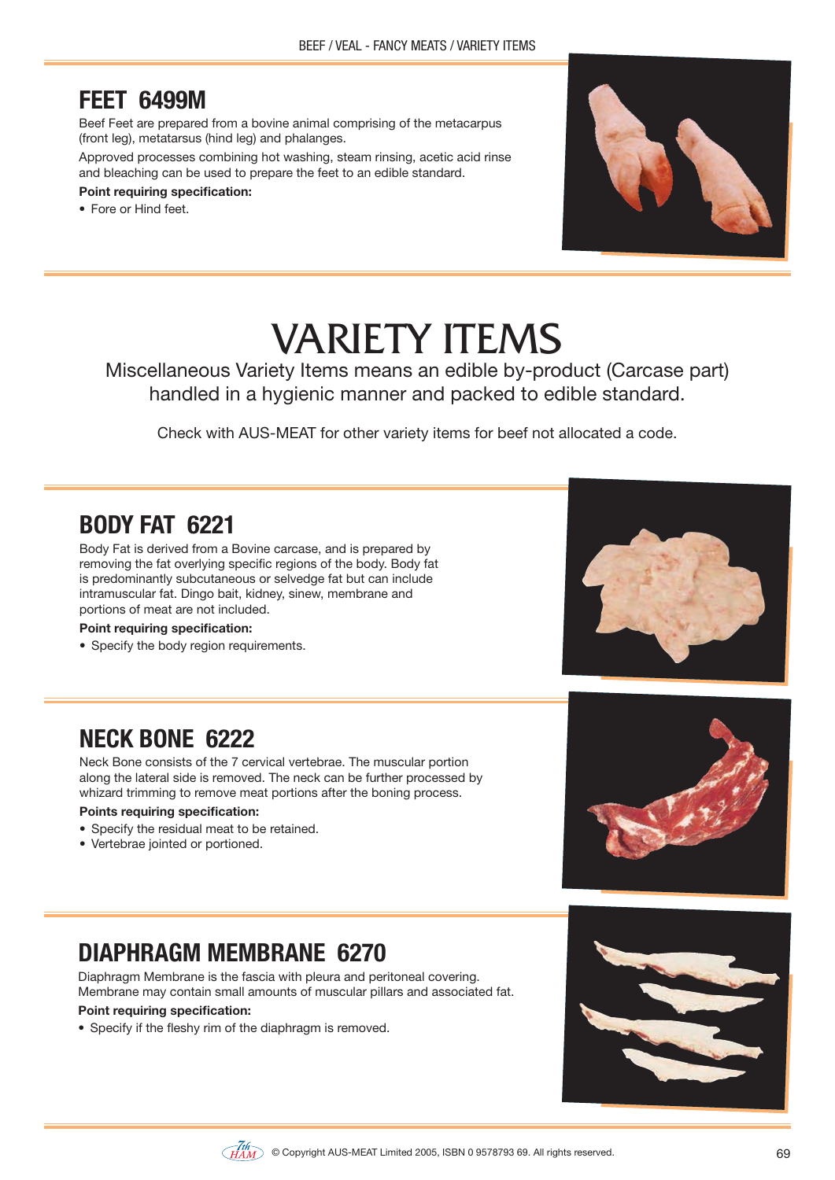### **FEET 6499M**

Beef Feet are prepared from a bovine animal comprising of the metacarpus (front leg), metatarsus (hind leg) and phalanges.

Approved processes combining hot washing, steam rinsing, acetic acid rinse and bleaching can be used to prepare the feet to an edible standard.

#### **Point requiring specification:**

• Fore or Hind feet.



# VARIETY ITEMS

Miscellaneous Variety Items means an edible by-product (Carcase part) handled in a hygienic manner and packed to edible standard.

Check with AUS-MEAT for other variety items for beef not allocated a code.

### **BODY FAT 6221**

Body Fat is derived from a Bovine carcase, and is prepared by removing the fat overlying specific regions of the body. Body fat is predominantly subcutaneous or selvedge fat but can include intramuscular fat. Dingo bait, kidney, sinew, membrane and portions of meat are not included.

#### **Point requiring specification:**

• Specify the body region requirements.



### **NECK BONE 6222**

Neck Bone consists of the 7 cervical vertebrae. The muscular portion along the lateral side is removed. The neck can be further processed by whizard trimming to remove meat portions after the boning process.

#### **Points requiring specification:**

- Specify the residual meat to be retained.
- Vertebrae jointed or portioned.



# **DIAPHRAGM MEMBRANE 6270**

Diaphragm Membrane is the fascia with pleura and peritoneal covering. Membrane may contain small amounts of muscular pillars and associated fat.

#### **Point requiring specification:**

• Specify if the fleshy rim of the diaphragm is removed.

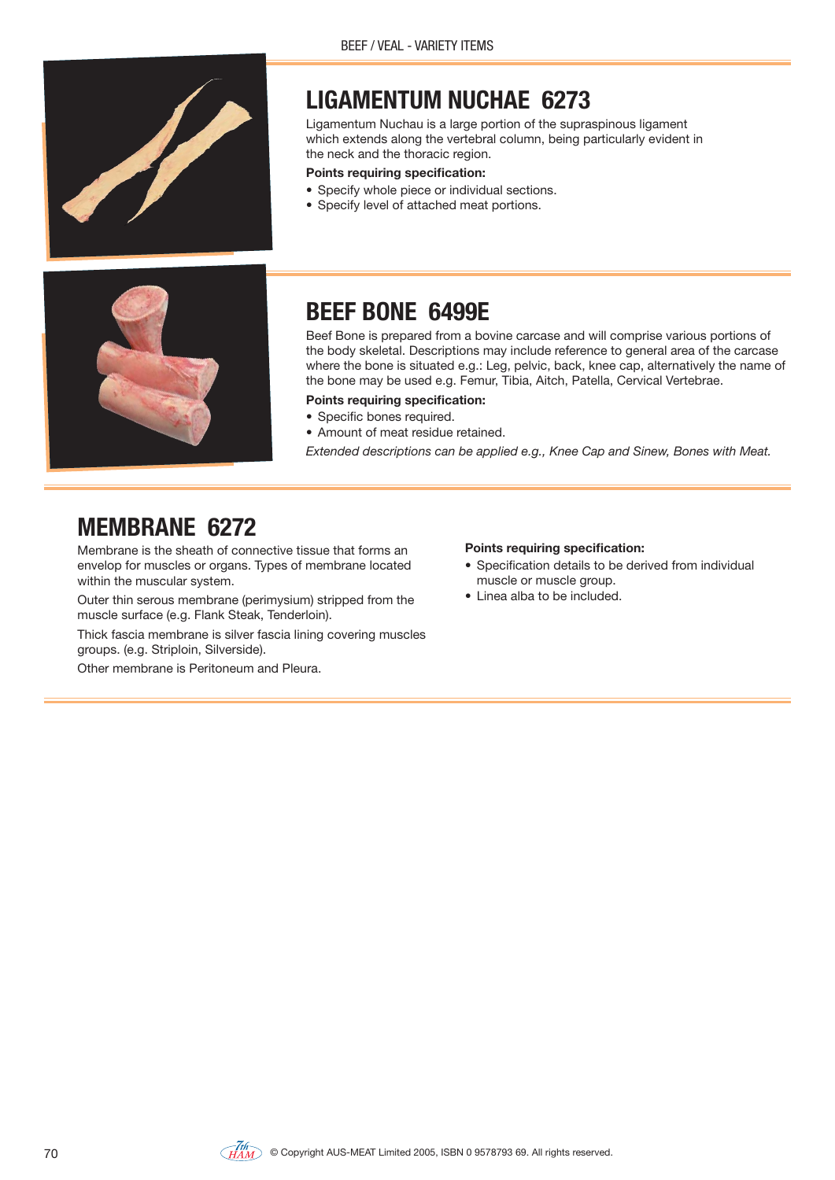

### **LIGAMENTUM NUCHAE 6273**

Ligamentum Nuchau is a large portion of the supraspinous ligament which extends along the vertebral column, being particularly evident in the neck and the thoracic region.

#### **Points requiring specification:**

- Specify whole piece or individual sections.
- Specify level of attached meat portions.



### **BEEF BONE 6499E**

Beef Bone is prepared from a bovine carcase and will comprise various portions of the body skeletal. Descriptions may include reference to general area of the carcase where the bone is situated e.g.: Leg, pelvic, back, knee cap, alternatively the name of the bone may be used e.g. Femur, Tibia, Aitch, Patella, Cervical Vertebrae.

- **Points requiring specification:**
- Specific bones required.
- Amount of meat residue retained.

*Extended descriptions can be applied e.g., Knee Cap and Sinew, Bones with Meat.*

### **MEMBRANE 6272**

Membrane is the sheath of connective tissue that forms an envelop for muscles or organs. Types of membrane located within the muscular system.

Outer thin serous membrane (perimysium) stripped from the muscle surface (e.g. Flank Steak, Tenderloin).

Thick fascia membrane is silver fascia lining covering muscles groups. (e.g. Striploin, Silverside).

Other membrane is Peritoneum and Pleura.

- Specification details to be derived from individual muscle or muscle group.
- $\bullet$  I inea alba to be included.

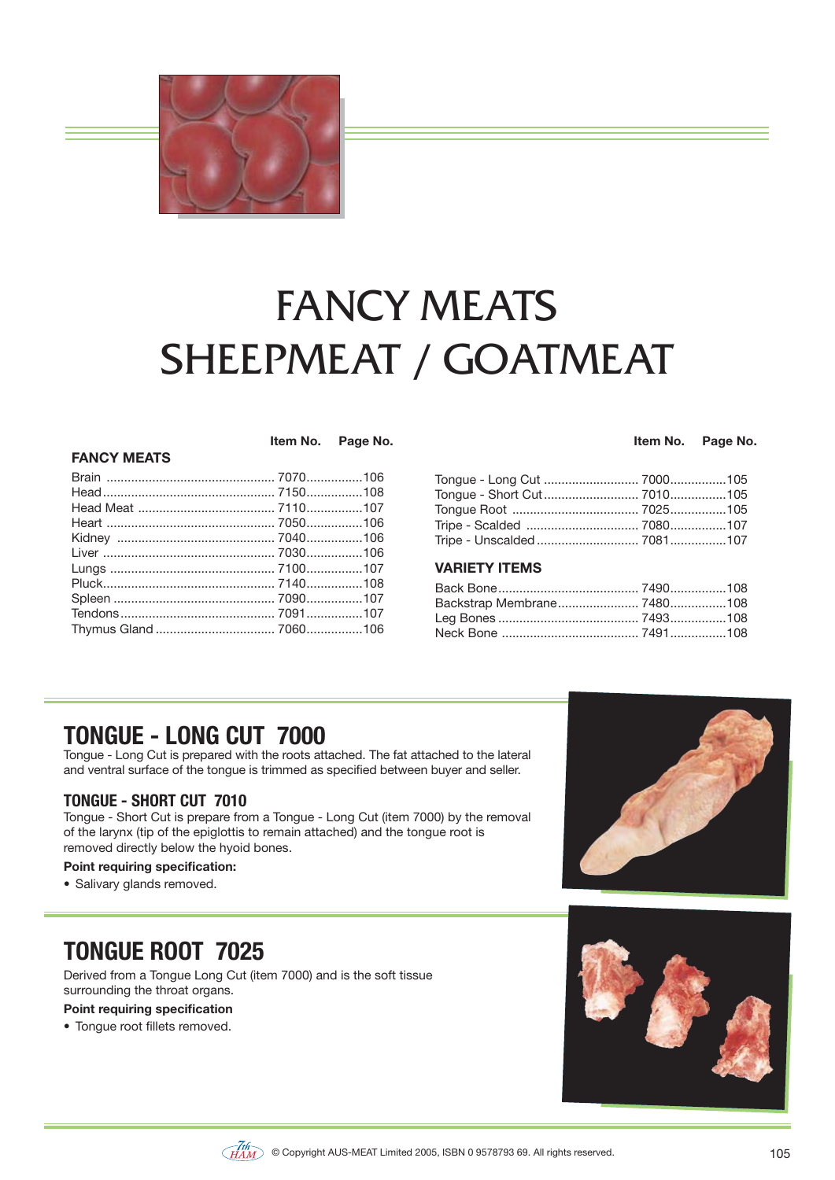

# FANCY MEATS SHEEPMEAT / GOATMEAT

#### **FANCY MEATS**

 **Item No. Page No.**

#### **Item No. Page No.**

| Tripe - Unscalded  7081107 |  |
|----------------------------|--|

#### **VARIETY ITEMS**

### **TONGUE - LONG CUT 7000**

Tongue - Long Cut is prepared with the roots attached. The fat attached to the lateral and ventral surface of the tongue is trimmed as specified between buyer and seller.

#### **TONGUE - SHORT CUT 7010**

Tongue - Short Cut is prepare from a Tongue - Long Cut (item 7000) by the removal of the larynx (tip of the epiglottis to remain attached) and the tongue root is removed directly below the hyoid bones.

#### **Point requiring specification:**

• Salivary glands removed.

# **TONGUE ROOT 7025**

Derived from a Tongue Long Cut (item 7000) and is the soft tissue surrounding the throat organs.

#### **Point requiring specification**

• Tonque root fillets removed.





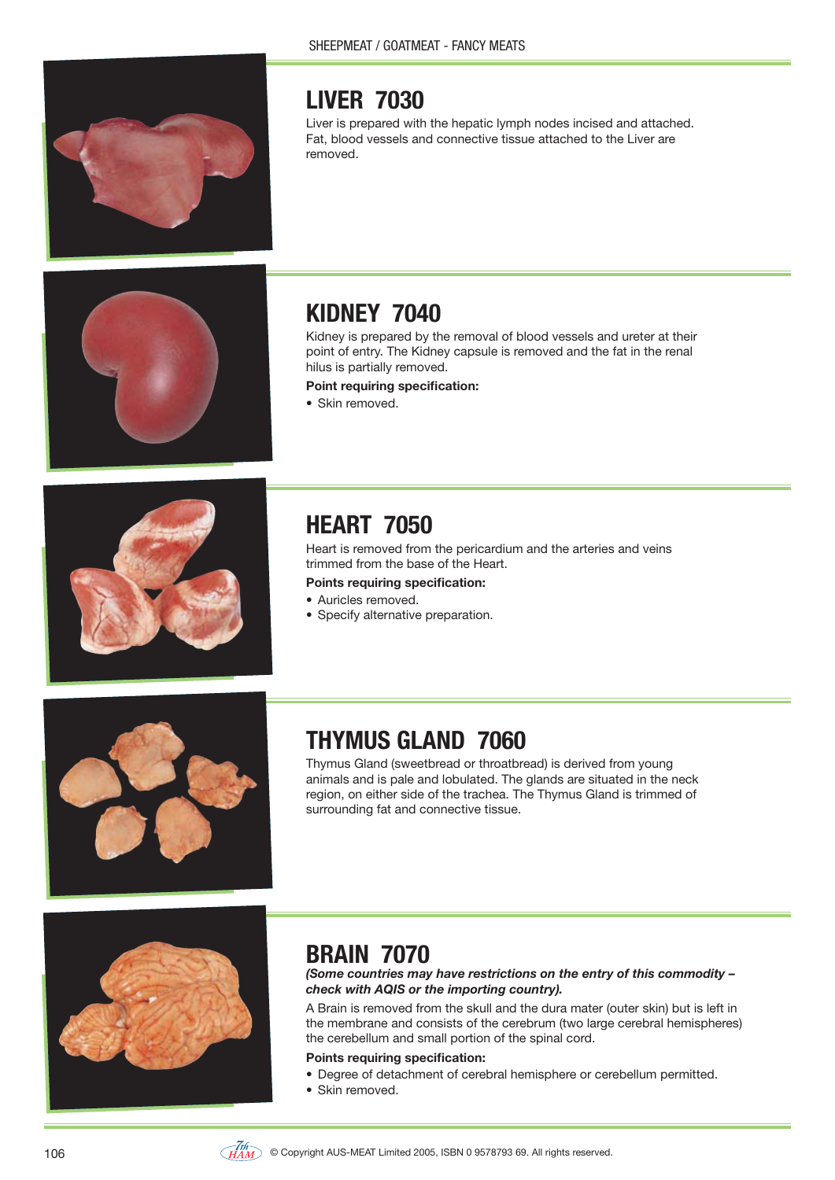

# **LIVER 7030**

Liver is prepared with the hepatic lymph nodes incised and attached. Fat, blood vessels and connective tissue attached to the Liver are removed.



# **KIDNEY 7040**

Kidney is prepared by the removal of blood vessels and ureter at their point of entry. The Kidney capsule is removed and the fat in the renal hilus is partially removed.

**Point requiring specification:**

• Skin removed.



# **HEART 7050**

Heart is removed from the pericardium and the arteries and veins trimmed from the base of the Heart.

**Points requiring specification:**

- Auricles removed.
- Specify alternative preparation.



# **THYMUS GLAND 7060**

Thymus Gland (sweetbread or throatbread) is derived from young animals and is pale and lobulated. The glands are situated in the neck region, on either side of the trachea. The Thymus Gland is trimmed of surrounding fat and connective tissue.



### **BRAIN 7070**

*(Some countries may have restrictions on the entry of this commodity – check with AQIS or the importing country).*

A Brain is removed from the skull and the dura mater (outer skin) but is left in the membrane and consists of the cerebrum (two large cerebral hemispheres) the cerebellum and small portion of the spinal cord.

- Degree of detachment of cerebral hemisphere or cerebellum permitted.
- Skin removed.

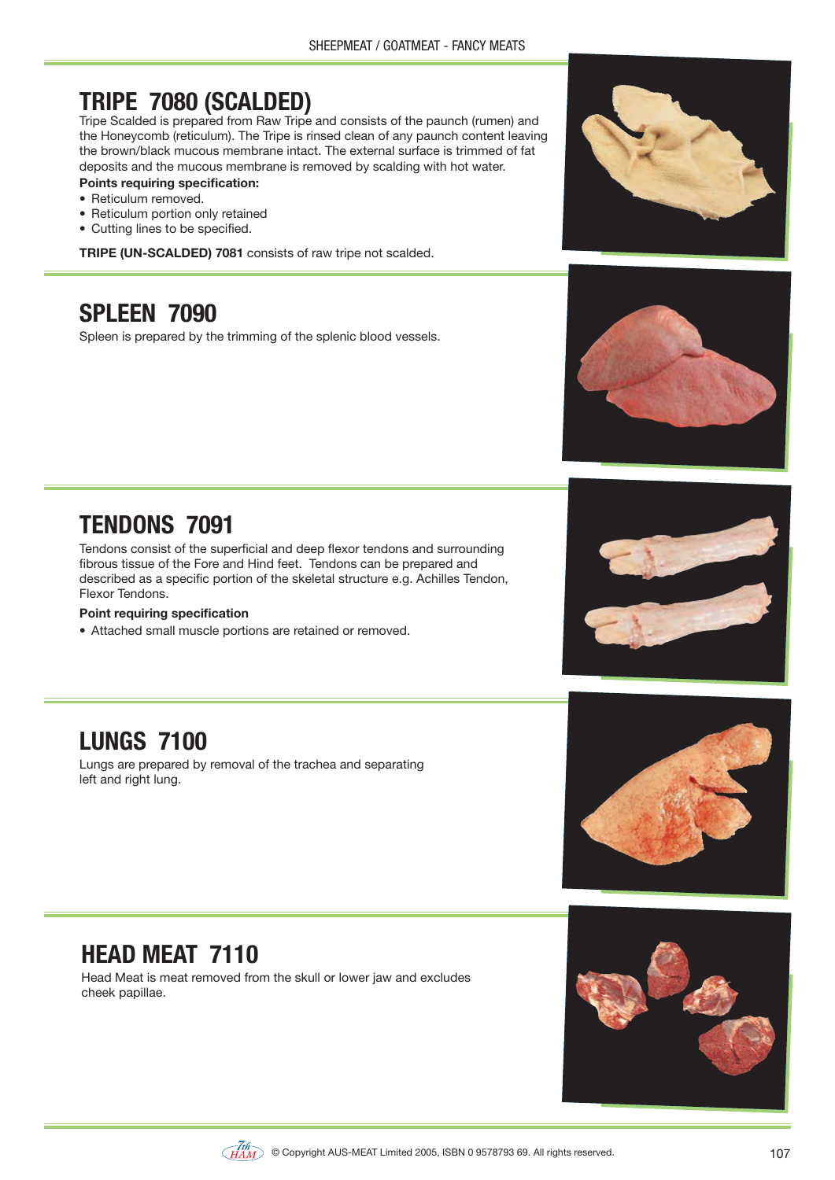# **TRIPE 7080 (SCALDED)**

Tripe Scalded is prepared from Raw Tripe and consists of the paunch (rumen) and the Honeycomb (reticulum). The Tripe is rinsed clean of any paunch content leaving the brown/black mucous membrane intact. The external surface is trimmed of fat deposits and the mucous membrane is removed by scalding with hot water.

#### **Points requiring specification:**

- · Reticulum removed.
- Reticulum portion only retained
- Cutting lines to be specified.

TRIPE (UN-SCALDED) 7081 consists of raw tripe not scalded.

### **SPLEEN 7090**

Spleen is prepared by the trimming of the splenic blood vessels.





# **TENDONS 7091**

Tendons consist of the superficial and deep flexor tendons and surrounding fibrous tissue of the Fore and Hind feet. Tendons can be prepared and described as a specific portion of the skeletal structure e.g. Achilles Tendon, Flexor Tendons.

#### **Point requiring specification**

• Attached small muscle portions are retained or removed.



# **LUNGS 7100**

Lungs are prepared by removal of the trachea and separating left and right lung.

# **HEAD MEAT 7110**

Head Meat is meat removed from the skull or lower jaw and excludes cheek papillae.